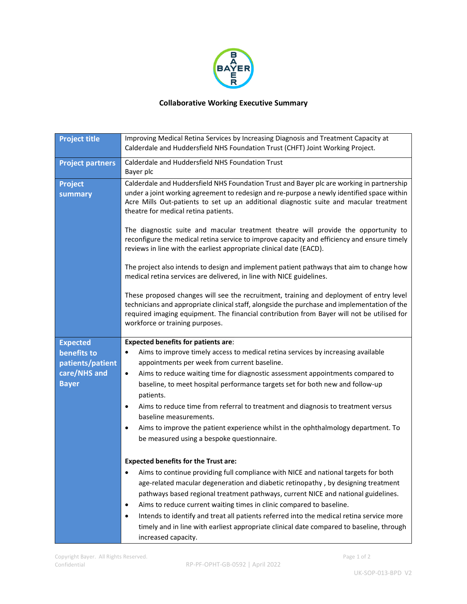

## **Collaborative Working Executive Summary**

| <b>Project title</b>      | Improving Medical Retina Services by Increasing Diagnosis and Treatment Capacity at<br>Calderdale and Huddersfield NHS Foundation Trust (CHFT) Joint Working Project.                                                                                                                                                                                                                                                                                                                                                                                                                                                                                                                                                                                                                                                                                                                                                                                                                                                                                                                 |
|---------------------------|---------------------------------------------------------------------------------------------------------------------------------------------------------------------------------------------------------------------------------------------------------------------------------------------------------------------------------------------------------------------------------------------------------------------------------------------------------------------------------------------------------------------------------------------------------------------------------------------------------------------------------------------------------------------------------------------------------------------------------------------------------------------------------------------------------------------------------------------------------------------------------------------------------------------------------------------------------------------------------------------------------------------------------------------------------------------------------------|
| <b>Project partners</b>   | Calderdale and Huddersfield NHS Foundation Trust<br>Bayer plc                                                                                                                                                                                                                                                                                                                                                                                                                                                                                                                                                                                                                                                                                                                                                                                                                                                                                                                                                                                                                         |
| <b>Project</b><br>summary | Calderdale and Huddersfield NHS Foundation Trust and Bayer plc are working in partnership<br>under a joint working agreement to redesign and re-purpose a newly identified space within<br>Acre Mills Out-patients to set up an additional diagnostic suite and macular treatment<br>theatre for medical retina patients.<br>The diagnostic suite and macular treatment theatre will provide the opportunity to<br>reconfigure the medical retina service to improve capacity and efficiency and ensure timely<br>reviews in line with the earliest appropriate clinical date (EACD).<br>The project also intends to design and implement patient pathways that aim to change how<br>medical retina services are delivered, in line with NICE guidelines.<br>These proposed changes will see the recruitment, training and deployment of entry level<br>technicians and appropriate clinical staff, alongside the purchase and implementation of the<br>required imaging equipment. The financial contribution from Bayer will not be utilised for<br>workforce or training purposes. |
| <b>Expected</b>           | <b>Expected benefits for patients are:</b>                                                                                                                                                                                                                                                                                                                                                                                                                                                                                                                                                                                                                                                                                                                                                                                                                                                                                                                                                                                                                                            |
| benefits to               | Aims to improve timely access to medical retina services by increasing available                                                                                                                                                                                                                                                                                                                                                                                                                                                                                                                                                                                                                                                                                                                                                                                                                                                                                                                                                                                                      |
| patients/patient          | appointments per week from current baseline.                                                                                                                                                                                                                                                                                                                                                                                                                                                                                                                                                                                                                                                                                                                                                                                                                                                                                                                                                                                                                                          |
| care/NHS and              | Aims to reduce waiting time for diagnostic assessment appointments compared to<br>$\bullet$                                                                                                                                                                                                                                                                                                                                                                                                                                                                                                                                                                                                                                                                                                                                                                                                                                                                                                                                                                                           |
| <b>Bayer</b>              | baseline, to meet hospital performance targets set for both new and follow-up<br>patients.                                                                                                                                                                                                                                                                                                                                                                                                                                                                                                                                                                                                                                                                                                                                                                                                                                                                                                                                                                                            |
|                           | Aims to reduce time from referral to treatment and diagnosis to treatment versus<br>$\bullet$                                                                                                                                                                                                                                                                                                                                                                                                                                                                                                                                                                                                                                                                                                                                                                                                                                                                                                                                                                                         |
|                           | baseline measurements.                                                                                                                                                                                                                                                                                                                                                                                                                                                                                                                                                                                                                                                                                                                                                                                                                                                                                                                                                                                                                                                                |
|                           | Aims to improve the patient experience whilst in the ophthalmology department. To<br>$\bullet$                                                                                                                                                                                                                                                                                                                                                                                                                                                                                                                                                                                                                                                                                                                                                                                                                                                                                                                                                                                        |
|                           | be measured using a bespoke questionnaire.                                                                                                                                                                                                                                                                                                                                                                                                                                                                                                                                                                                                                                                                                                                                                                                                                                                                                                                                                                                                                                            |
|                           | <b>Expected benefits for the Trust are:</b>                                                                                                                                                                                                                                                                                                                                                                                                                                                                                                                                                                                                                                                                                                                                                                                                                                                                                                                                                                                                                                           |
|                           | Aims to continue providing full compliance with NICE and national targets for both                                                                                                                                                                                                                                                                                                                                                                                                                                                                                                                                                                                                                                                                                                                                                                                                                                                                                                                                                                                                    |
|                           | age-related macular degeneration and diabetic retinopathy, by designing treatment                                                                                                                                                                                                                                                                                                                                                                                                                                                                                                                                                                                                                                                                                                                                                                                                                                                                                                                                                                                                     |
|                           | pathways based regional treatment pathways, current NICE and national guidelines.                                                                                                                                                                                                                                                                                                                                                                                                                                                                                                                                                                                                                                                                                                                                                                                                                                                                                                                                                                                                     |
|                           | Aims to reduce current waiting times in clinic compared to baseline.<br>٠                                                                                                                                                                                                                                                                                                                                                                                                                                                                                                                                                                                                                                                                                                                                                                                                                                                                                                                                                                                                             |
|                           | Intends to identify and treat all patients referred into the medical retina service more<br>$\bullet$                                                                                                                                                                                                                                                                                                                                                                                                                                                                                                                                                                                                                                                                                                                                                                                                                                                                                                                                                                                 |
|                           | timely and in line with earliest appropriate clinical date compared to baseline, through                                                                                                                                                                                                                                                                                                                                                                                                                                                                                                                                                                                                                                                                                                                                                                                                                                                                                                                                                                                              |
|                           | increased capacity.                                                                                                                                                                                                                                                                                                                                                                                                                                                                                                                                                                                                                                                                                                                                                                                                                                                                                                                                                                                                                                                                   |